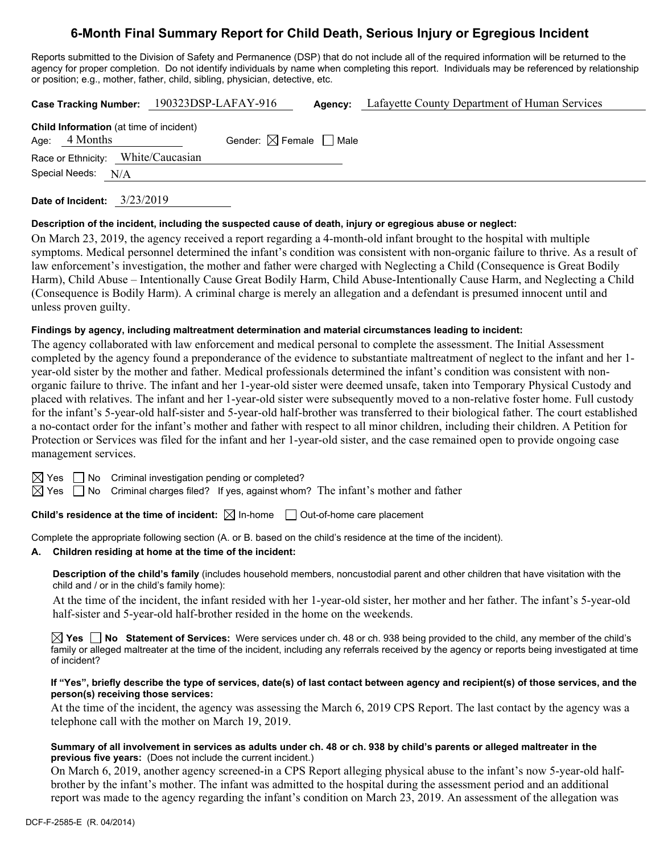# **6-Month Final Summary Report for Child Death, Serious Injury or Egregious Incident**

Reports submitted to the Division of Safety and Permanence (DSP) that do not include all of the required information will be returned to the agency for proper completion. Do not identify individuals by name when completing this report. Individuals may be referenced by relationship or position; e.g., mother, father, child, sibling, physician, detective, etc.

|                                                                   | Case Tracking Number: 190323DSP-LAFAY-916 | Agency: | Lafayette County Department of Human Services |
|-------------------------------------------------------------------|-------------------------------------------|---------|-----------------------------------------------|
| <b>Child Information</b> (at time of incident)<br>Age: $4$ Months | Gender: $\boxtimes$ Female $\Box$ Male    |         |                                               |
| Race or Ethnicity: White/Caucasian<br>Special Needs: N/A          |                                           |         |                                               |
|                                                                   |                                           |         |                                               |

**Date of Incident:** 3/23/2019

#### **Description of the incident, including the suspected cause of death, injury or egregious abuse or neglect:**

On March 23, 2019, the agency received a report regarding a 4-month-old infant brought to the hospital with multiple symptoms. Medical personnel determined the infant's condition was consistent with non-organic failure to thrive. As a result of law enforcement's investigation, the mother and father were charged with Neglecting a Child (Consequence is Great Bodily Harm), Child Abuse – Intentionally Cause Great Bodily Harm, Child Abuse-Intentionally Cause Harm, and Neglecting a Child (Consequence is Bodily Harm). A criminal charge is merely an allegation and a defendant is presumed innocent until and unless proven guilty.

#### **Findings by agency, including maltreatment determination and material circumstances leading to incident:**

The agency collaborated with law enforcement and medical personal to complete the assessment. The Initial Assessment completed by the agency found a preponderance of the evidence to substantiate maltreatment of neglect to the infant and her 1 year-old sister by the mother and father. Medical professionals determined the infant's condition was consistent with nonorganic failure to thrive. The infant and her 1-year-old sister were deemed unsafe, taken into Temporary Physical Custody and placed with relatives. The infant and her 1-year-old sister were subsequently moved to a non-relative foster home. Full custody for the infant's 5-year-old half-sister and 5-year-old half-brother was transferred to their biological father. The court established a no-contact order for the infant's mother and father with respect to all minor children, including their children. A Petition for Protection or Services was filed for the infant and her 1-year-old sister, and the case remained open to provide ongoing case management services.

 $\boxtimes$  Yes  $\Box$  No Criminal investigation pending or completed?

 $\boxtimes$  Yes  $\Box$  No Criminal charges filed? If yes, against whom? The infant's mother and father

**Child's residence at the time of incident:**  $\boxtimes$  In-home  $\Box$  Out-of-home care placement

Complete the appropriate following section (A. or B. based on the child's residence at the time of the incident).

# **A. Children residing at home at the time of the incident:**

**Description of the child's family** (includes household members, noncustodial parent and other children that have visitation with the child and / or in the child's family home):

 At the time of the incident, the infant resided with her 1-year-old sister, her mother and her father. The infant's 5-year-old half-sister and 5-year-old half-brother resided in the home on the weekends.

**Yes No Statement of Services:** Were services under ch. 48 or ch. 938 being provided to the child, any member of the child's family or alleged maltreater at the time of the incident, including any referrals received by the agency or reports being investigated at time of incident?

#### **If "Yes", briefly describe the type of services, date(s) of last contact between agency and recipient(s) of those services, and the person(s) receiving those services:**

At the time of the incident, the agency was assessing the March 6, 2019 CPS Report. The last contact by the agency was a telephone call with the mother on March 19, 2019.

#### **Summary of all involvement in services as adults under ch. 48 or ch. 938 by child's parents or alleged maltreater in the previous five years:** (Does not include the current incident.)

On March 6, 2019, another agency screened-in a CPS Report alleging physical abuse to the infant's now 5-year-old halfbrother by the infant's mother. The infant was admitted to the hospital during the assessment period and an additional report was made to the agency regarding the infant's condition on March 23, 2019. An assessment of the allegation was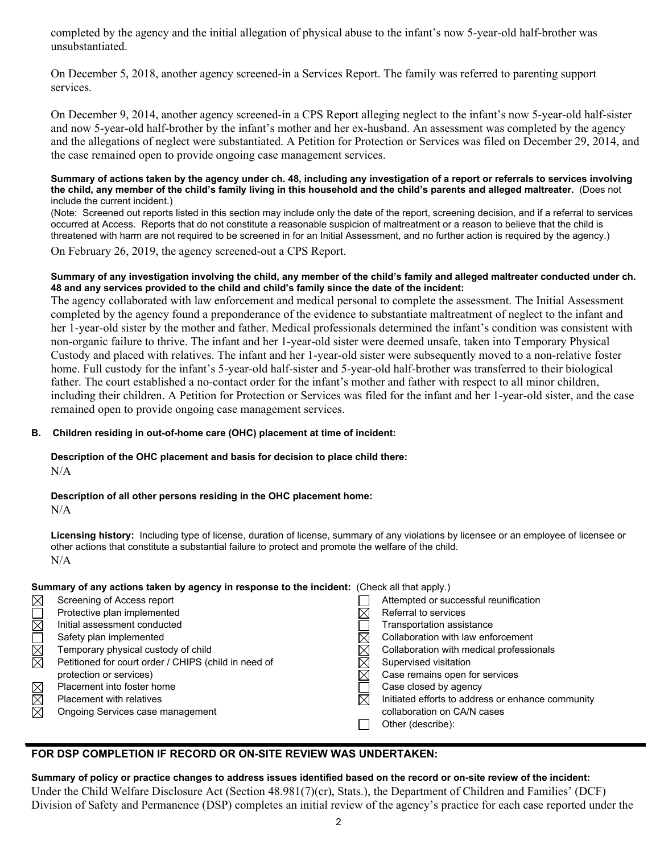completed by the agency and the initial allegation of physical abuse to the infant's now 5-year-old half-brother was unsubstantiated.

On December 5, 2018, another agency screened-in a Services Report. The family was referred to parenting support services.

On December 9, 2014, another agency screened-in a CPS Report alleging neglect to the infant's now 5-year-old half-sister and now 5-year-old half-brother by the infant's mother and her ex-husband. An assessment was completed by the agency and the allegations of neglect were substantiated. A Petition for Protection or Services was filed on December 29, 2014, and the case remained open to provide ongoing case management services.

#### **Summary of actions taken by the agency under ch. 48, including any investigation of a report or referrals to services involving the child, any member of the child's family living in this household and the child's parents and alleged maltreater.** (Does not include the current incident.)

(Note: Screened out reports listed in this section may include only the date of the report, screening decision, and if a referral to services occurred at Access. Reports that do not constitute a reasonable suspicion of maltreatment or a reason to believe that the child is threatened with harm are not required to be screened in for an Initial Assessment, and no further action is required by the agency.)

On February 26, 2019, the agency screened-out a CPS Report.

## **Summary of any investigation involving the child, any member of the child's family and alleged maltreater conducted under ch. 48 and any services provided to the child and child's family since the date of the incident:**

The agency collaborated with law enforcement and medical personal to complete the assessment. The Initial Assessment completed by the agency found a preponderance of the evidence to substantiate maltreatment of neglect to the infant and her 1-year-old sister by the mother and father. Medical professionals determined the infant's condition was consistent with non-organic failure to thrive. The infant and her 1-year-old sister were deemed unsafe, taken into Temporary Physical Custody and placed with relatives. The infant and her 1-year-old sister were subsequently moved to a non-relative foster home. Full custody for the infant's 5-year-old half-sister and 5-year-old half-brother was transferred to their biological father. The court established a no-contact order for the infant's mother and father with respect to all minor children, including their children. A Petition for Protection or Services was filed for the infant and her 1-year-old sister, and the case remained open to provide ongoing case management services.

# **B. Children residing in out-of-home care (OHC) placement at time of incident:**

## **Description of the OHC placement and basis for decision to place child there:**  N/A

**Description of all other persons residing in the OHC placement home:**  N/A

**Licensing history:** Including type of license, duration of license, summary of any violations by licensee or an employee of licensee or other actions that constitute a substantial failure to protect and promote the welfare of the child. N/A

# **Summary of any actions taken by agency in response to the incident:** (Check all that apply.)

| $\boxtimes$                              | Screening of Access report                           | Attempted or successful reunification             |
|------------------------------------------|------------------------------------------------------|---------------------------------------------------|
| $\mathop{\boxtimes\overline{\boxtimes}}$ | Protective plan implemented                          | Referral to services                              |
|                                          | Initial assessment conducted                         | Transportation assistance                         |
|                                          | Safety plan implemented                              | Collaboration with law enforcement                |
| N<br>M                                   | Temporary physical custody of child                  | Collaboration with medical professionals          |
|                                          | Petitioned for court order / CHIPS (child in need of | Supervised visitation                             |
|                                          | protection or services)                              | Case remains open for services                    |
|                                          | Placement into foster home                           | Case closed by agency                             |
| $\boxtimes \overline{\boxtimes}$         | <b>Placement with relatives</b>                      | Initiated efforts to address or enhance community |
| 岗                                        | Ongoing Services case management                     | collaboration on CA/N cases                       |
|                                          |                                                      | Other (describe):                                 |
|                                          |                                                      |                                                   |

# **FOR DSP COMPLETION IF RECORD OR ON-SITE REVIEW WAS UNDERTAKEN:**

**Summary of policy or practice changes to address issues identified based on the record or on-site review of the incident:**  Under the Child Welfare Disclosure Act (Section 48.981(7)(cr), Stats.), the Department of Children and Families' (DCF) Division of Safety and Permanence (DSP) completes an initial review of the agency's practice for each case reported under the